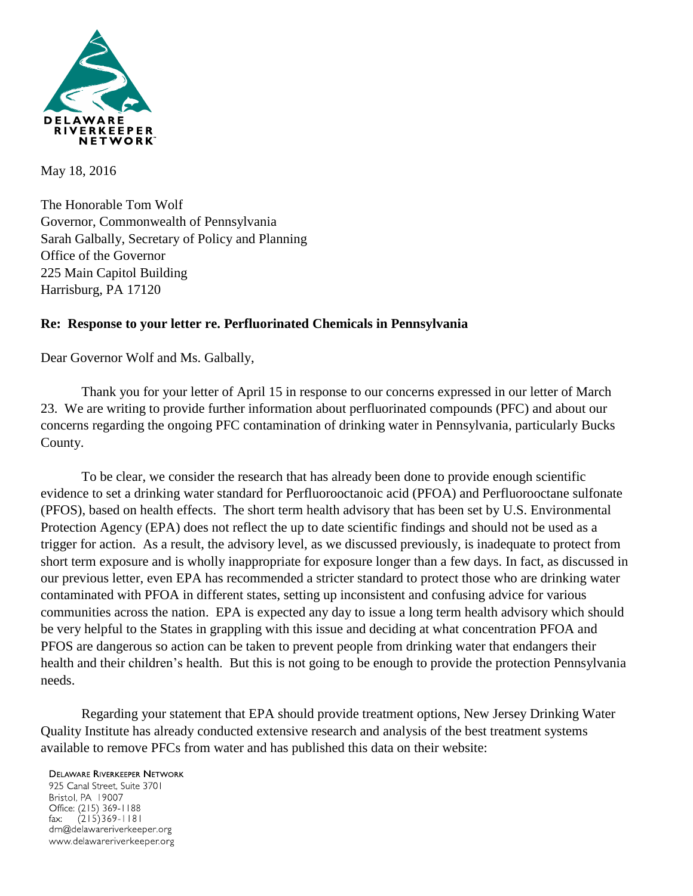

May 18, 2016

The Honorable Tom Wolf Governor, Commonwealth of Pennsylvania Sarah Galbally, Secretary of Policy and Planning Office of the Governor 225 Main Capitol Building Harrisburg, PA 17120

## **Re: Response to your letter re. Perfluorinated Chemicals in Pennsylvania**

Dear Governor Wolf and Ms. Galbally,

Thank you for your letter of April 15 in response to our concerns expressed in our letter of March 23. We are writing to provide further information about perfluorinated compounds (PFC) and about our concerns regarding the ongoing PFC contamination of drinking water in Pennsylvania, particularly Bucks County.

To be clear, we consider the research that has already been done to provide enough scientific evidence to set a drinking water standard for Perfluorooctanoic acid (PFOA) and Perfluorooctane sulfonate (PFOS), based on health effects. The short term health advisory that has been set by U.S. Environmental Protection Agency (EPA) does not reflect the up to date scientific findings and should not be used as a trigger for action. As a result, the advisory level, as we discussed previously, is inadequate to protect from short term exposure and is wholly inappropriate for exposure longer than a few days. In fact, as discussed in our previous letter, even EPA has recommended a stricter standard to protect those who are drinking water contaminated with PFOA in different states, setting up inconsistent and confusing advice for various communities across the nation. EPA is expected any day to issue a long term health advisory which should be very helpful to the States in grappling with this issue and deciding at what concentration PFOA and PFOS are dangerous so action can be taken to prevent people from drinking water that endangers their health and their children's health. But this is not going to be enough to provide the protection Pennsylvania needs.

Regarding your statement that EPA should provide treatment options, New Jersey Drinking Water Quality Institute has already conducted extensive research and analysis of the best treatment systems available to remove PFCs from water and has published this data on their website:

## **DELAWARE RIVERKEEPER NETWORK**

925 Canal Street, Suite 3701 Bristol, PA 19007 Office: (215) 369-1188  $(215)369 - 1181$ fax: drn@delawareriverkeeper.org www.delawareriverkeeper.org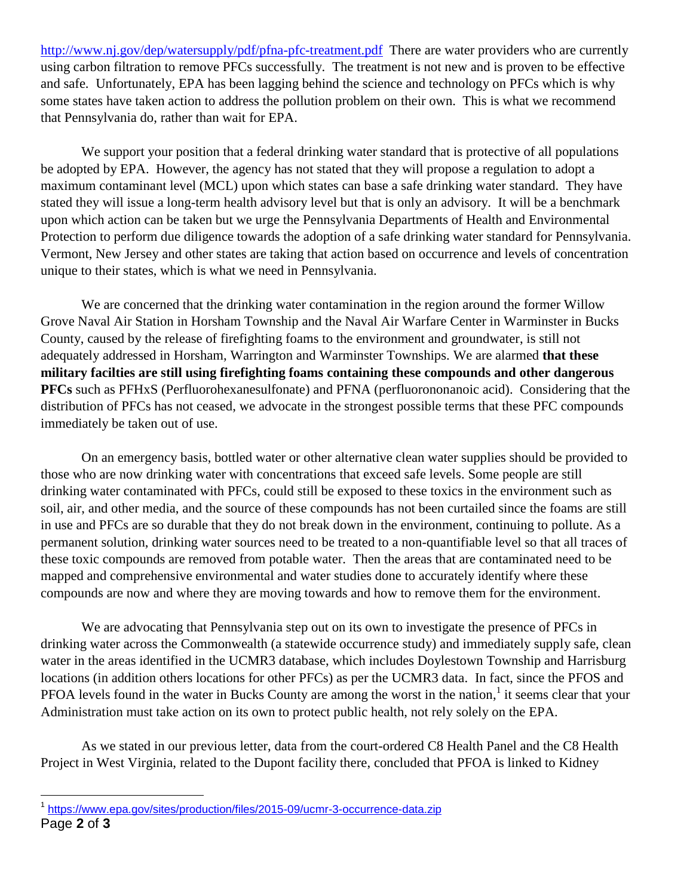<http://www.nj.gov/dep/watersupply/pdf/pfna-pfc-treatment.pdf>There are water providers who are currently using carbon filtration to remove PFCs successfully. The treatment is not new and is proven to be effective and safe. Unfortunately, EPA has been lagging behind the science and technology on PFCs which is why some states have taken action to address the pollution problem on their own. This is what we recommend that Pennsylvania do, rather than wait for EPA.

We support your position that a federal drinking water standard that is protective of all populations be adopted by EPA. However, the agency has not stated that they will propose a regulation to adopt a maximum contaminant level (MCL) upon which states can base a safe drinking water standard. They have stated they will issue a long-term health advisory level but that is only an advisory. It will be a benchmark upon which action can be taken but we urge the Pennsylvania Departments of Health and Environmental Protection to perform due diligence towards the adoption of a safe drinking water standard for Pennsylvania. Vermont, New Jersey and other states are taking that action based on occurrence and levels of concentration unique to their states, which is what we need in Pennsylvania.

We are concerned that the drinking water contamination in the region around the former Willow Grove Naval Air Station in Horsham Township and the Naval Air Warfare Center in Warminster in Bucks County, caused by the release of firefighting foams to the environment and groundwater, is still not adequately addressed in Horsham, Warrington and Warminster Townships. We are alarmed **that these military facilties are still using firefighting foams containing these compounds and other dangerous PFCs** such as PFHxS (Perfluorohexanesulfonate) and PFNA (perfluorononanoic acid). Considering that the distribution of PFCs has not ceased, we advocate in the strongest possible terms that these PFC compounds immediately be taken out of use.

On an emergency basis, bottled water or other alternative clean water supplies should be provided to those who are now drinking water with concentrations that exceed safe levels. Some people are still drinking water contaminated with PFCs, could still be exposed to these toxics in the environment such as soil, air, and other media, and the source of these compounds has not been curtailed since the foams are still in use and PFCs are so durable that they do not break down in the environment, continuing to pollute. As a permanent solution, drinking water sources need to be treated to a non-quantifiable level so that all traces of these toxic compounds are removed from potable water. Then the areas that are contaminated need to be mapped and comprehensive environmental and water studies done to accurately identify where these compounds are now and where they are moving towards and how to remove them for the environment.

We are advocating that Pennsylvania step out on its own to investigate the presence of PFCs in drinking water across the Commonwealth (a statewide occurrence study) and immediately supply safe, clean water in the areas identified in the UCMR3 database, which includes Doylestown Township and Harrisburg locations (in addition others locations for other PFCs) as per the UCMR3 data. In fact, since the PFOS and PFOA levels found in the water in Bucks County are among the worst in the nation,<sup>1</sup> it seems clear that your Administration must take action on its own to protect public health, not rely solely on the EPA.

As we stated in our previous letter, data from the court-ordered C8 Health Panel and the C8 Health Project in West Virginia, related to the Dupont facility there, concluded that PFOA is linked to Kidney

 $\overline{a}$ <sup>1</sup> <https://www.epa.gov/sites/production/files/2015-09/ucmr-3-occurrence-data.zip>